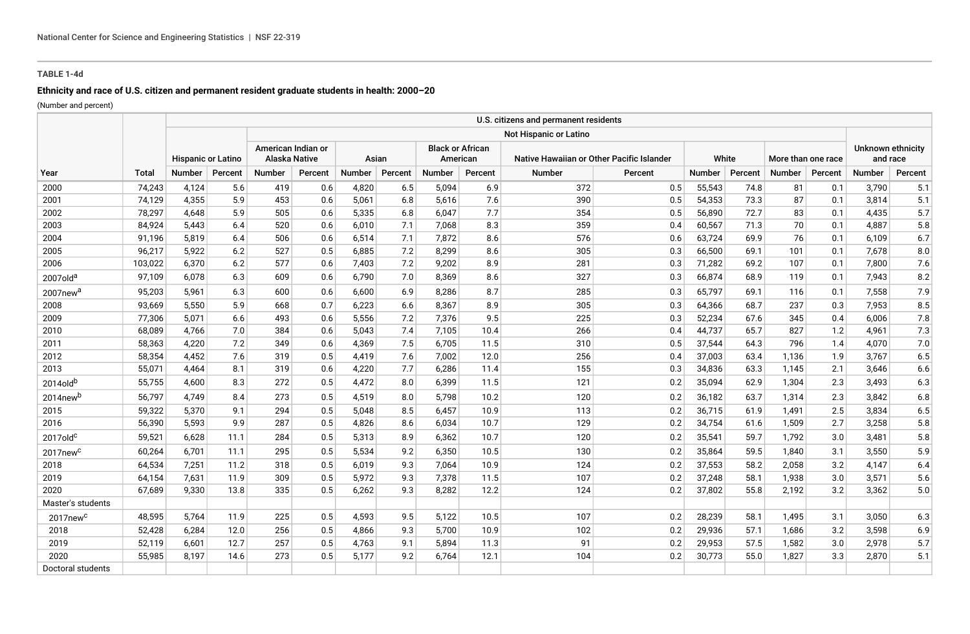# **TABLE 1-4d**

# **Ethnicity and race of U.S. citizen and permanent resident graduate students in health: 2000–20**

(Number and percent)

|                      |              |                           |         |                                     |         |               |         |                                     |         | U.S. citizens and permanent residents     |         |               |         |                    |         |                               |         |
|----------------------|--------------|---------------------------|---------|-------------------------------------|---------|---------------|---------|-------------------------------------|---------|-------------------------------------------|---------|---------------|---------|--------------------|---------|-------------------------------|---------|
|                      |              |                           |         | Not Hispanic or Latino              |         |               |         |                                     |         |                                           |         |               |         |                    |         |                               |         |
|                      |              | <b>Hispanic or Latino</b> |         | American Indian or<br>Alaska Native |         | Asian         |         | <b>Black or African</b><br>American |         | Native Hawaiian or Other Pacific Islander |         | White         |         | More than one race |         | Unknown ethnicity<br>and race |         |
| Year                 | <b>Total</b> | <b>Number</b>             | Percent | <b>Number</b>                       | Percent | <b>Number</b> | Percent | <b>Number</b>                       | Percent | <b>Number</b>                             | Percent | <b>Number</b> | Percent | <b>Number</b>      | Percent | Number                        | Percent |
| 2000                 | 74,243       | 4,124                     | 5.6     | 419                                 | 0.6     | 4,820         | 6.5     | 5,094                               | 6.9     | 372                                       | 0.5     | 55,543        | 74.8    | 81                 | 0.1     | 3,790                         | 5.1     |
| 2001                 | 74,129       | 4,355                     | 5.9     | 453                                 | 0.6     | 5,061         | 6.8     | 5,616                               | 7.6     | 390                                       | 0.5     | 54,353        | 73.3    | 87                 | 0.1     | 3,814                         | 5.1     |
| 2002                 | 78,297       | 4.648                     | 5.9     | 505                                 | 0.6     | 5,335         | 6.8     | 6,047                               | 7.7     | 354                                       | 0.5     | 56,890        | 72.7    | 83                 | 0.1     | 4,435                         | 5.7     |
| 2003                 | 84,924       | 5.443                     | 6.4     | 520                                 | 0.6     | 6,010         | 7.1     | 7,068                               | 8.3     | 359                                       | 0.4     | 60,567        | 71.3    | 70                 | 0.1     | 4,887                         | 5.8     |
| 2004                 | 91,196       | 5,819                     | 6.4     | 506                                 | 0.6     | 6,514         | 7.1     | 7,872                               | 8.6     | 576                                       | 0.6     | 63,724        | 69.9    | 76                 | 0.1     | 6,109                         | 6.7     |
| 2005                 | 96,217       | 5,922                     | 6.2     | 527                                 | 0.5     | 6,885         | 7.2     | 8,299                               | 8.6     | 305                                       | 0.3     | 66,500        | 69.1    | 101                | 0.1     | 7,678                         | 8.0     |
| 2006                 | 103,022      | 6,370                     | 6.2     | 577                                 | 0.6     | 7,403         | 7.2     | 9,202                               | 8.9     | 281                                       | 0.3     | 71,282        | 69.2    | 107                | 0.1     | 7,800                         | 7.6     |
| 2007old <sup>a</sup> | 97,109       | 6,078                     | 6.3     | 609                                 | 0.6     | 6,790         | 7.0     | 8,369                               | 8.6     | 327                                       | 0.3     | 66,874        | 68.9    | 119                | 0.1     | 7,943                         | 8.2     |
| 2007new <sup>a</sup> | 95,203       | 5,961                     | 6.3     | 600                                 | 0.6     | 6,600         | 6.9     | 8,286                               | 8.7     | 285                                       | 0.3     | 65,797        | 69.1    | 116                | 0.1     | 7,558                         | 7.9     |
| 2008                 | 93,669       | 5,550                     | 5.9     | 668                                 | 0.7     | 6,223         | 6.6     | 8,367                               | 8.9     | 305                                       | 0.3     | 64,366        | 68.7    | 237                | 0.3     | 7,953                         | 8.5     |
| 2009                 | 77,306       | 5,071                     | 6.6     | 493                                 | 0.6     | 5,556         | 7.2     | 7,376                               | 9.5     | 225                                       | 0.3     | 52,234        | 67.6    | 345                | 0.4     | 6,006                         | 7.8     |
| 2010                 | 68,089       | 4,766                     | 7.0     | 384                                 | 0.6     | 5,043         | 7.4     | 7,105                               | 10.4    | 266                                       | 0.4     | 44,737        | 65.7    | 827                | 1.2     | 4,961                         | 7.3     |
| 2011                 | 58,363       | 4,220                     | 7.2     | 349                                 | 0.6     | 4,369         | 7.5     | 6,705                               | 11.5    | 310                                       | 0.5     | 37,544        | 64.3    | 796                | 1.4     | 4,070                         | 7.0     |
| 2012                 | 58,354       | 4,452                     | 7.6     | 319                                 | 0.5     | 4,419         | 7.6     | 7,002                               | 12.0    | 256                                       | 0.4     | 37,003        | 63.4    | 1,136              | 1.9     | 3,767                         | 6.5     |
| 2013                 | 55,071       | 4,464                     | 8.1     | 319                                 | 0.6     | 4,220         | 7.7     | 6,286                               | 11.4    | 155                                       | 0.3     | 34,836        | 63.3    | 1,145              | 2.1     | 3,646                         | 6.6     |
| 2014oldb             | 55,755       | 4,600                     | 8.3     | 272                                 | 0.5     | 4,472         | 8.0     | 6,399                               | 11.5    | 121                                       | 0.2     | 35,094        | 62.9    | 1,304              | 2.3     | 3,493                         | 6.3     |
| 2014new <sup>b</sup> | 56,797       | 4.749                     | 8.4     | 273                                 | 0.5     | 4.519         | 8.0     | 5,798                               | 10.2    | 120                                       | 0.2     | 36,182        | 63.7    | 1,314              | 2.3     | 3,842                         | 6.8     |
| 2015                 | 59,322       | 5,370                     | 9.1     | 294                                 | 0.5     | 5,048         | 8.5     | 6,457                               | 10.9    | 113                                       | 0.2     | 36,715        | 61.9    | 1,491              | 2.5     | 3,834                         | 6.5     |
| 2016                 | 56,390       | 5,593                     | 9.9     | 287                                 | 0.5     | 4,826         | 8.6     | 6,034                               | 10.7    | 129                                       | 0.2     | 34,754        | 61.6    | 1,509              | 2.7     | 3,258                         | 5.8     |
| $2017$ old $c$       | 59,521       | 6,628                     | 11.1    | 284                                 | 0.5     | 5,313         | 8.9     | 6,362                               | 10.7    | 120                                       | 0.2     | 35,541        | 59.7    | 1,792              | 3.0     | 3,481                         | 5.8     |
| 2017new <sup>c</sup> | 60,264       | 6.701                     | 11.1    | 295                                 | 0.5     | 5,534         | 9.2     | 6,350                               | 10.5    | 130                                       | 0.2     | 35,864        | 59.5    | 1,840              | 3.1     | 3,550                         | 5.9     |
| 2018                 | 64,534       | 7,251                     | 11.2    | 318                                 | 0.5     | 6,019         | 9.3     | 7,064                               | 10.9    | 124                                       | 0.2     | 37,553        | 58.2    | 2,058              | 3.2     | 4,147                         | 6.4     |
| 2019                 | 64,154       | 7,631                     | 11.9    | 309                                 | 0.5     | 5,972         | 9.3     | 7,378                               | 11.5    | 107                                       | 0.2     | 37,248        | 58.1    | 1,938              | 3.0     | 3,571                         | 5.6     |
| 2020                 | 67,689       | 9,330                     | 13.8    | 335                                 | 0.5     | 6,262         | 9.3     | 8,282                               | 12.2    | 124                                       | 0.2     | 37,802        | 55.8    | 2,192              | 3.2     | 3,362                         | 5.0     |
| Master's students    |              |                           |         |                                     |         |               |         |                                     |         |                                           |         |               |         |                    |         |                               |         |
| 2017new <sup>c</sup> | 48,595       | 5,764                     | 11.9    | 225                                 | 0.5     | 4,593         | 9.5     | 5,122                               | 10.5    | 107                                       | 0.2     | 28,239        | 58.1    | 1,495              | 3.1     | 3,050                         | 6.3     |
| 2018                 | 52,428       | 6.284                     | 12.0    | 256                                 | 0.5     | 4.866         | 9.3     | 5,700                               | 10.9    | 102                                       | 0.2     | 29,936        | 57.1    | 1,686              | 3.2     | 3,598                         | 6.9     |
| 2019                 | 52,119       | 6,601                     | 12.7    | 257                                 | 0.5     | 4,763         | 9.1     | 5,894                               | 11.3    | 91                                        | 0.2     | 29,953        | 57.5    | 1,582              | 3.0     | 2,978                         | 5.7     |
| 2020                 | 55,985       | 8,197                     | 14.6    | 273                                 | 0.5     | 5,177         | 9.2     | 6,764                               | 12.1    | 104                                       | 0.2     | 30,773        | 55.0    | 1,827              | 3.3     | 2,870                         | 5.1     |
| Doctoral students    |              |                           |         |                                     |         |               |         |                                     |         |                                           |         |               |         |                    |         |                               |         |